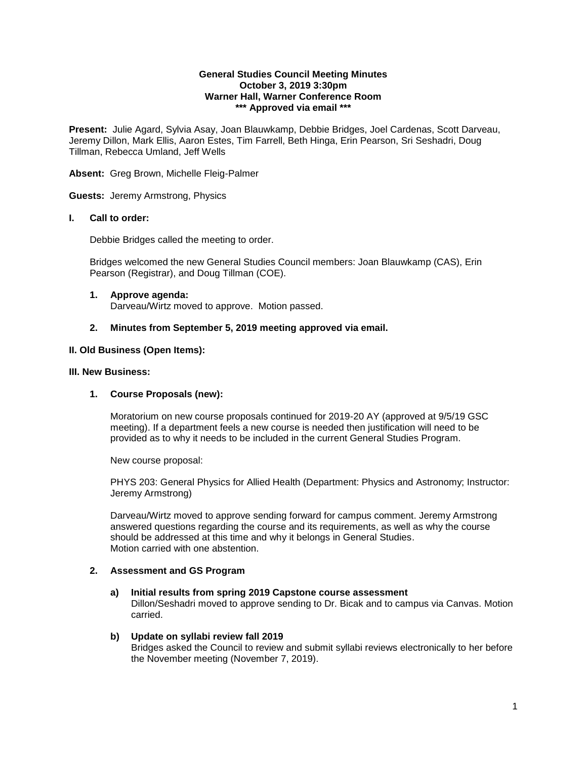### **General Studies Council Meeting Minutes October 3, 2019 3:30pm Warner Hall, Warner Conference Room \*\*\* Approved via email \*\*\***

**Present:** Julie Agard, Sylvia Asay, Joan Blauwkamp, Debbie Bridges, Joel Cardenas, Scott Darveau, Jeremy Dillon, Mark Ellis, Aaron Estes, Tim Farrell, Beth Hinga, Erin Pearson, Sri Seshadri, Doug Tillman, Rebecca Umland, Jeff Wells

## **Absent:** Greg Brown, Michelle Fleig-Palmer

**Guests:** Jeremy Armstrong, Physics

## **I. Call to order:**

Debbie Bridges called the meeting to order.

Bridges welcomed the new General Studies Council members: Joan Blauwkamp (CAS), Erin Pearson (Registrar), and Doug Tillman (COE).

## **1. Approve agenda:**  Darveau/Wirtz moved to approve. Motion passed.

# **2. Minutes from September 5, 2019 meeting approved via email.**

# **II. Old Business (Open Items):**

# **III. New Business:**

# **1. Course Proposals (new):**

Moratorium on new course proposals continued for 2019-20 AY (approved at 9/5/19 GSC meeting). If a department feels a new course is needed then justification will need to be provided as to why it needs to be included in the current General Studies Program.

New course proposal:

PHYS 203: General Physics for Allied Health (Department: Physics and Astronomy; Instructor: Jeremy Armstrong)

Darveau/Wirtz moved to approve sending forward for campus comment. Jeremy Armstrong answered questions regarding the course and its requirements, as well as why the course should be addressed at this time and why it belongs in General Studies. Motion carried with one abstention.

# **2. Assessment and GS Program**

# **a) Initial results from spring 2019 Capstone course assessment**

Dillon/Seshadri moved to approve sending to Dr. Bicak and to campus via Canvas. Motion carried.

## **b) Update on syllabi review fall 2019**

Bridges asked the Council to review and submit syllabi reviews electronically to her before the November meeting (November 7, 2019).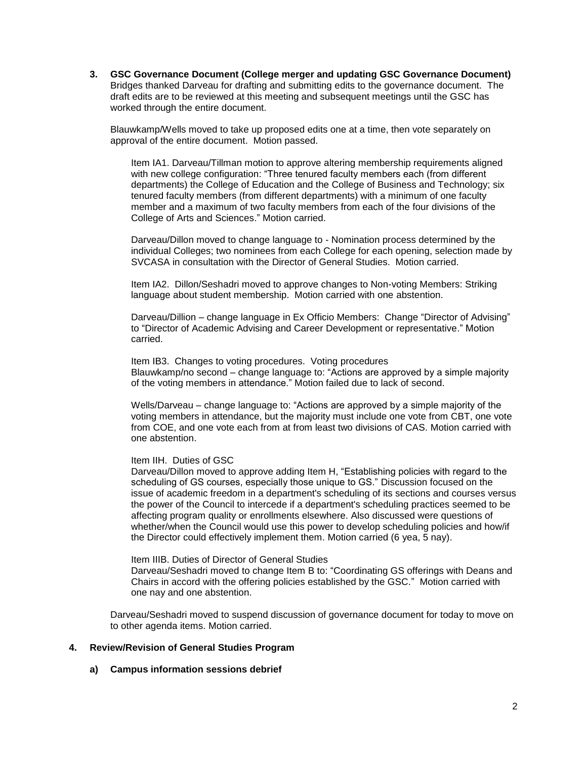**3. GSC Governance Document (College merger and updating GSC Governance Document)**  Bridges thanked Darveau for drafting and submitting edits to the governance document. The draft edits are to be reviewed at this meeting and subsequent meetings until the GSC has worked through the entire document.

Blauwkamp/Wells moved to take up proposed edits one at a time, then vote separately on approval of the entire document. Motion passed.

Item IA1. Darveau/Tillman motion to approve altering membership requirements aligned with new college configuration: "Three tenured faculty members each (from different departments) the College of Education and the College of Business and Technology; six tenured faculty members (from different departments) with a minimum of one faculty member and a maximum of two faculty members from each of the four divisions of the College of Arts and Sciences." Motion carried.

Darveau/Dillon moved to change language to - Nomination process determined by the individual Colleges; two nominees from each College for each opening, selection made by SVCASA in consultation with the Director of General Studies. Motion carried.

Item IA2. Dillon/Seshadri moved to approve changes to Non-voting Members: Striking language about student membership. Motion carried with one abstention.

Darveau/Dillion – change language in Ex Officio Members: Change "Director of Advising" to "Director of Academic Advising and Career Development or representative." Motion carried.

Item IB3. Changes to voting procedures. Voting procedures Blauwkamp/no second – change language to: "Actions are approved by a simple majority of the voting members in attendance." Motion failed due to lack of second.

Wells/Darveau – change language to: "Actions are approved by a simple majority of the voting members in attendance, but the majority must include one vote from CBT, one vote from COE, and one vote each from at from least two divisions of CAS. Motion carried with one abstention.

#### Item IIH. Duties of GSC

Darveau/Dillon moved to approve adding Item H, "Establishing policies with regard to the scheduling of GS courses, especially those unique to GS." Discussion focused on the issue of academic freedom in a department's scheduling of its sections and courses versus the power of the Council to intercede if a department's scheduling practices seemed to be affecting program quality or enrollments elsewhere. Also discussed were questions of whether/when the Council would use this power to develop scheduling policies and how/if the Director could effectively implement them. Motion carried (6 yea, 5 nay).

Item IIIB. Duties of Director of General Studies

Darveau/Seshadri moved to change Item B to: "Coordinating GS offerings with Deans and Chairs in accord with the offering policies established by the GSC." Motion carried with one nay and one abstention.

Darveau/Seshadri moved to suspend discussion of governance document for today to move on to other agenda items. Motion carried.

#### **4. Review/Revision of General Studies Program**

## **a) Campus information sessions debrief**